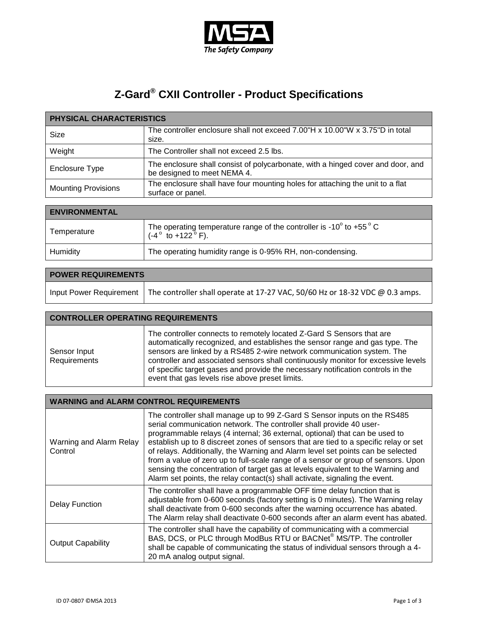

## **Z-Gard® CXII Controller - Product Specifications**

| <b>PHYSICAL CHARACTERISTICS</b> |                                                                                                                |
|---------------------------------|----------------------------------------------------------------------------------------------------------------|
| Size                            | The controller enclosure shall not exceed 7.00"H x 10.00"W x 3.75"D in total<br>size.                          |
| Weight                          | The Controller shall not exceed 2.5 lbs.                                                                       |
| <b>Enclosure Type</b>           | The enclosure shall consist of polycarbonate, with a hinged cover and door, and<br>be designed to meet NEMA 4. |
| <b>Mounting Provisions</b>      | The enclosure shall have four mounting holes for attaching the unit to a flat<br>surface or panel.             |

| <b>ENVIRONMENTAL</b> |                                                                                                                                |
|----------------------|--------------------------------------------------------------------------------------------------------------------------------|
| Temperature          | The operating temperature range of the controller is -10 $^{\circ}$ to +55 $^{\circ}$ C<br>$(-4^{\circ}$ to $+122^{\circ}$ F). |
| Humidity             | The operating humidity range is 0-95% RH, non-condensing.                                                                      |

| <b>POWER REQUIREMENTS</b> |                                                                                                        |
|---------------------------|--------------------------------------------------------------------------------------------------------|
|                           | Input Power Requirement   The controller shall operate at 17-27 VAC, 50/60 Hz or 18-32 VDC @ 0.3 amps. |

## **CONTROLLER OPERATING REQUIREMENTS**

| Sensor Input<br>Requirements | The controller connects to remotely located Z-Gard S Sensors that are<br>automatically recognized, and establishes the sensor range and gas type. The<br>sensors are linked by a RS485 2-wire network communication system. The<br>controller and associated sensors shall continuously monitor for excessive levels<br>of specific target gases and provide the necessary notification controls in the |
|------------------------------|---------------------------------------------------------------------------------------------------------------------------------------------------------------------------------------------------------------------------------------------------------------------------------------------------------------------------------------------------------------------------------------------------------|
|                              | event that gas levels rise above preset limits.                                                                                                                                                                                                                                                                                                                                                         |

## **WARNING and ALARM CONTROL REQUIREMENTS**

| Warning and Alarm Relay<br>Control | The controller shall manage up to 99 Z-Gard S Sensor inputs on the RS485<br>serial communication network. The controller shall provide 40 user-<br>programmable relays (4 internal; 36 external, optional) that can be used to<br>establish up to 8 discreet zones of sensors that are tied to a specific relay or set<br>of relays. Additionally, the Warning and Alarm level set points can be selected<br>from a value of zero up to full-scale range of a sensor or group of sensors. Upon<br>sensing the concentration of target gas at levels equivalent to the Warning and<br>Alarm set points, the relay contact(s) shall activate, signaling the event. |
|------------------------------------|------------------------------------------------------------------------------------------------------------------------------------------------------------------------------------------------------------------------------------------------------------------------------------------------------------------------------------------------------------------------------------------------------------------------------------------------------------------------------------------------------------------------------------------------------------------------------------------------------------------------------------------------------------------|
| <b>Delay Function</b>              | The controller shall have a programmable OFF time delay function that is<br>adjustable from 0-600 seconds (factory setting is 0 minutes). The Warning relay<br>shall deactivate from 0-600 seconds after the warning occurrence has abated.<br>The Alarm relay shall deactivate 0-600 seconds after an alarm event has abated.                                                                                                                                                                                                                                                                                                                                   |
| <b>Output Capability</b>           | The controller shall have the capability of communicating with a commercial<br>BAS, DCS, or PLC through ModBus RTU or BACNet <sup>®</sup> MS/TP. The controller<br>shall be capable of communicating the status of individual sensors through a 4-<br>20 mA analog output signal.                                                                                                                                                                                                                                                                                                                                                                                |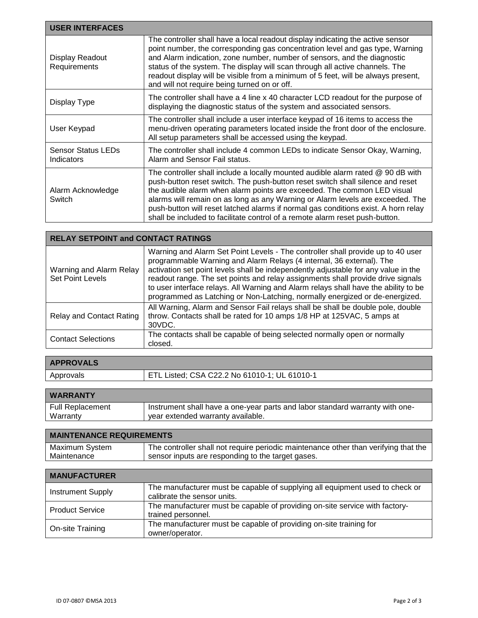| <b>USER INTERFACES</b>                         |                                                                                                                                                                                                                                                                                                                                                                                                                                                                                                      |
|------------------------------------------------|------------------------------------------------------------------------------------------------------------------------------------------------------------------------------------------------------------------------------------------------------------------------------------------------------------------------------------------------------------------------------------------------------------------------------------------------------------------------------------------------------|
| Display Readout<br>Requirements                | The controller shall have a local readout display indicating the active sensor<br>point number, the corresponding gas concentration level and gas type, Warning<br>and Alarm indication, zone number, number of sensors, and the diagnostic<br>status of the system. The display will scan through all active channels. The<br>readout display will be visible from a minimum of 5 feet, will be always present,<br>and will not require being turned on or off.                                     |
| Display Type                                   | The controller shall have a 4 line x 40 character LCD readout for the purpose of<br>displaying the diagnostic status of the system and associated sensors.                                                                                                                                                                                                                                                                                                                                           |
| User Keypad                                    | The controller shall include a user interface keypad of 16 items to access the<br>menu-driven operating parameters located inside the front door of the enclosure.<br>All setup parameters shall be accessed using the keypad.                                                                                                                                                                                                                                                                       |
| <b>Sensor Status LEDs</b><br><b>Indicators</b> | The controller shall include 4 common LEDs to indicate Sensor Okay, Warning,<br>Alarm and Sensor Fail status.                                                                                                                                                                                                                                                                                                                                                                                        |
| Alarm Acknowledge<br>Switch                    | The controller shall include a locally mounted audible alarm rated @ 90 dB with<br>push-button reset switch. The push-button reset switch shall silence and reset<br>the audible alarm when alarm points are exceeded. The common LED visual<br>alarms will remain on as long as any Warning or Alarm levels are exceeded. The<br>push-button will reset latched alarms if normal gas conditions exist. A horn relay<br>shall be included to facilitate control of a remote alarm reset push-button. |

| <b>RELAY SETPOINT and CONTACT RATINGS</b>          |                                                                                                                                                                                                                                                                                                                                                                                                                                                                                                        |
|----------------------------------------------------|--------------------------------------------------------------------------------------------------------------------------------------------------------------------------------------------------------------------------------------------------------------------------------------------------------------------------------------------------------------------------------------------------------------------------------------------------------------------------------------------------------|
| Warning and Alarm Relay<br><b>Set Point Levels</b> | Warning and Alarm Set Point Levels - The controller shall provide up to 40 user<br>programmable Warning and Alarm Relays (4 internal, 36 external). The<br>activation set point levels shall be independently adjustable for any value in the<br>readout range. The set points and relay assignments shall provide drive signals<br>to user interface relays. All Warning and Alarm relays shall have the ability to be<br>programmed as Latching or Non-Latching, normally energized or de-energized. |
| <b>Relay and Contact Rating</b>                    | All Warning, Alarm and Sensor Fail relays shall be shall be double pole, double<br>throw. Contacts shall be rated for 10 amps 1/8 HP at 125VAC, 5 amps at<br>30VDC.                                                                                                                                                                                                                                                                                                                                    |
| <b>Contact Selections</b>                          | The contacts shall be capable of being selected normally open or normally<br>closed.                                                                                                                                                                                                                                                                                                                                                                                                                   |

| <b>APPROVALS</b> |                                              |
|------------------|----------------------------------------------|
| Approvals        | ETL Listed; CSA C22.2 No 61010-1; UL 61010-1 |
|                  |                                              |

| <b>WARRANTY</b>  |                                                                              |
|------------------|------------------------------------------------------------------------------|
| Full Replacement | Instrument shall have a one-year parts and labor standard warranty with one- |
| Warranty         | year extended warranty available.                                            |
|                  |                                                                              |

| <b>MAINTENANCE REQUIREMENTS</b> |                                                                                     |
|---------------------------------|-------------------------------------------------------------------------------------|
| Maximum System                  | The controller shall not require periodic maintenance other than verifying that the |
| Maintenance                     | sensor inputs are responding to the target gases.                                   |

| <b>MANUFACTURER</b>      |                                                                                                             |
|--------------------------|-------------------------------------------------------------------------------------------------------------|
| <b>Instrument Supply</b> | The manufacturer must be capable of supplying all equipment used to check or<br>calibrate the sensor units. |
| <b>Product Service</b>   | The manufacturer must be capable of providing on-site service with factory-<br>trained personnel.           |
| On-site Training         | The manufacturer must be capable of providing on-site training for<br>owner/operator.                       |